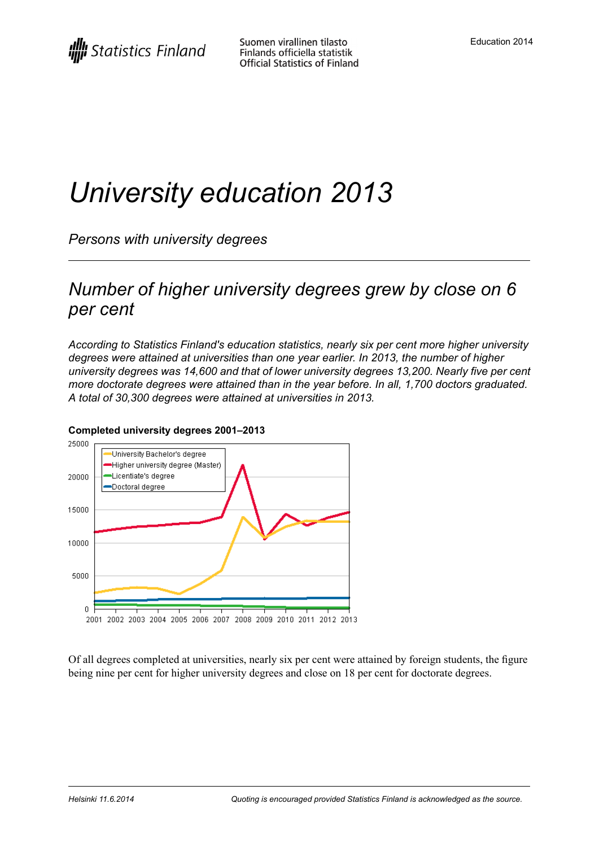# *University education 2013*

*Persons with university degrees*

## *Number of higher university degrees grew by close on 6 per cent*

*According to Statistics Finland's education statistics, nearly six per cent more higher university degrees were attained at universities than one year earlier. In 2013, the number of higher university degrees was 14,600 and that of lower university degrees 13,200. Nearly five per cent more doctorate degrees were attained than in the year before. In all, 1,700 doctors graduated. A total of 30,300 degrees were attained at universities in 2013.*



#### **Completed university degrees 2001–2013**

Of all degrees completed at universities, nearly six per cent were attained by foreign students, the figure being nine per cent for higher university degrees and close on 18 per cent for doctorate degrees.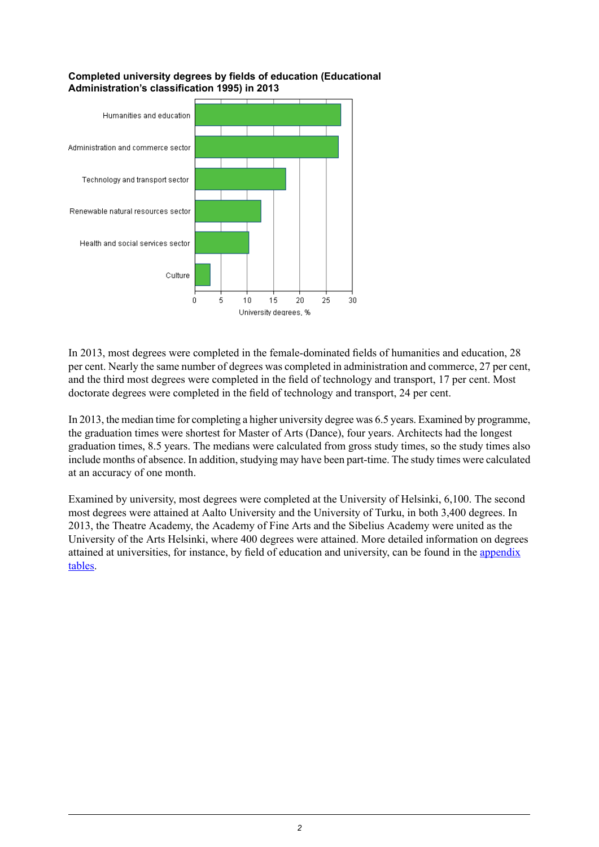

#### **Completed university degrees by fields of education (Educational Administration's classification 1995) in 2013**

In 2013, most degrees were completed in the female-dominated fields of humanities and education, 28 per cent. Nearly the same number of degrees was completed in administration and commerce, 27 per cent, and the third most degrees were completed in the field of technology and transport, 17 per cent. Most doctorate degrees were completed in the field of technology and transport, 24 per cent.

In 2013, the median time for completing a higher university degree was 6.5 years. Examined by programme, the graduation times were shortest for Master of Arts (Dance), four years. Architects had the longest graduation times, 8.5 years. The medians were calculated from gross study times, so the study times also include months of absence. In addition, studying may have been part-time. The study times were calculated at an accuracy of one month.

Examined by university, most degrees were completed at the University of Helsinki, 6,100. The second most degrees were attained at Aalto University and the University of Turku, in both 3,400 degrees. In 2013, the Theatre Academy, the Academy of Fine Arts and the Sibelius Academy were united as the University of the Arts Helsinki, where 400 degrees were attained. More detailed information on degrees attained at universities, for instance, by field of education and university, can be found in the [appendix](http://tilastokeskus.fi/til/yop/tau_en.html) [tables.](http://tilastokeskus.fi/til/yop/tau_en.html)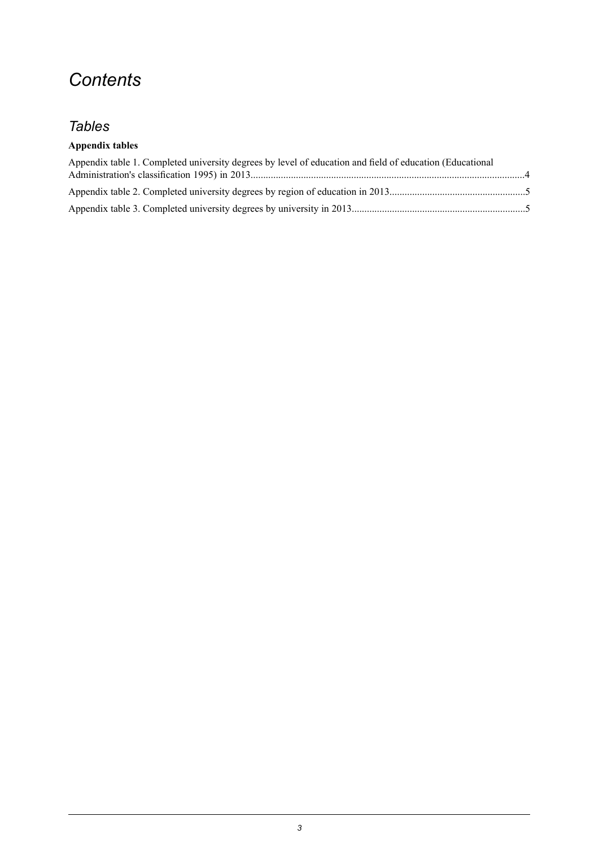# *Contents*

## *Tables*

### **Appendix tables**

| Appendix table 1. Completed university degrees by level of education and field of education (Educational |  |
|----------------------------------------------------------------------------------------------------------|--|
|                                                                                                          |  |
|                                                                                                          |  |
|                                                                                                          |  |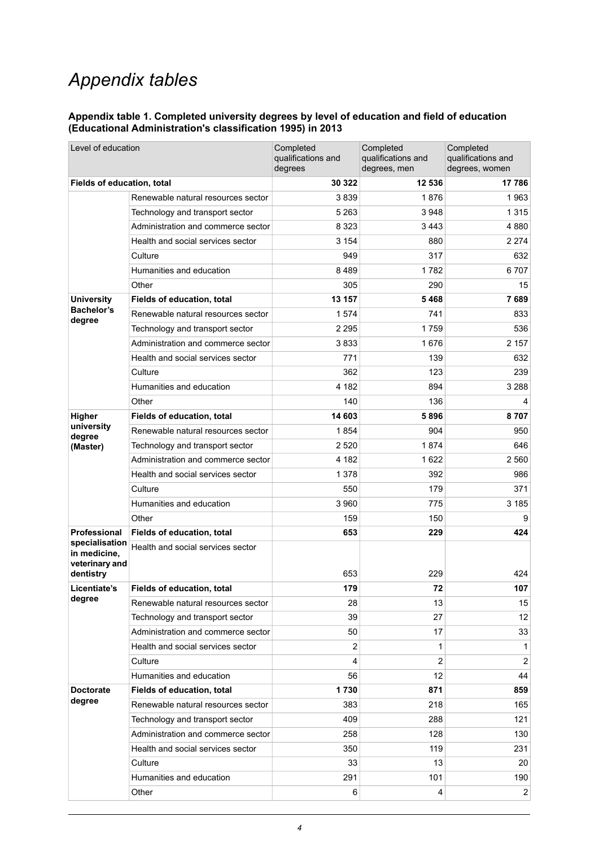# *Appendix tables*

#### <span id="page-3-0"></span>**Appendix table 1. Completed university degrees by level of education and field of education (Educational Administration's classification 1995) in 2013**

| Level of education                                            |                                    | Completed<br>qualifications and<br>degrees | Completed<br>qualifications and<br>degrees, men | Completed<br>qualifications and<br>degrees, women |
|---------------------------------------------------------------|------------------------------------|--------------------------------------------|-------------------------------------------------|---------------------------------------------------|
| Fields of education, total                                    |                                    | 30 322                                     | 12 536                                          | 17786                                             |
|                                                               | Renewable natural resources sector | 3839                                       | 1876                                            | 1963                                              |
|                                                               | Technology and transport sector    | 5 2 6 3                                    | 3 9 4 8                                         | 1 3 1 5                                           |
|                                                               | Administration and commerce sector | 8 3 2 3                                    | 3 4 4 3                                         | 4 880                                             |
|                                                               | Health and social services sector  | 3 1 5 4                                    | 880                                             | 2 2 7 4                                           |
|                                                               | Culture                            | 949                                        | 317                                             | 632                                               |
|                                                               | Humanities and education           | 8489                                       | 1782                                            | 6707                                              |
|                                                               | Other                              | 305                                        | 290                                             | 15                                                |
| <b>University</b>                                             | Fields of education, total         | 13 157                                     | 5468                                            | 7689                                              |
| <b>Bachelor's</b><br>degree                                   | Renewable natural resources sector | 1574                                       | 741                                             | 833                                               |
|                                                               | Technology and transport sector    | 2 2 9 5                                    | 1759                                            | 536                                               |
|                                                               | Administration and commerce sector | 3833                                       | 1676                                            | 2 1 5 7                                           |
|                                                               | Health and social services sector  | 771                                        | 139                                             | 632                                               |
|                                                               | Culture                            | 362                                        | 123                                             | 239                                               |
|                                                               | Humanities and education           | 4 182                                      | 894                                             | 3 2 8 8                                           |
|                                                               | Other                              | 140                                        | 136                                             | 4                                                 |
| Higher                                                        | Fields of education, total         | 14 603                                     | 5896                                            | 8707                                              |
| university<br>degree                                          | Renewable natural resources sector | 1854                                       | 904                                             | 950                                               |
| (Master)                                                      | Technology and transport sector    | 2 5 2 0                                    | 1874                                            | 646                                               |
|                                                               | Administration and commerce sector | 4 182                                      | 1 6 2 2                                         | 2 560                                             |
|                                                               | Health and social services sector  | 1 3 7 8                                    | 392                                             | 986                                               |
|                                                               | Culture                            | 550                                        | 179                                             | 371                                               |
|                                                               | Humanities and education           | 3 9 6 0                                    | 775                                             | 3 1 8 5                                           |
|                                                               | Other                              | 159                                        | 150                                             | 9                                                 |
| Professional                                                  | Fields of education, total         | 653                                        | 229                                             | 424                                               |
| specialisation<br>in medicine,<br>veterinary and<br>dentistry | Health and social services sector  | 653                                        | 229                                             | 424                                               |
| Licentiate's                                                  | Fields of education, total         | 179                                        | 72                                              | 107                                               |
| degree                                                        | Renewable natural resources sector | 28                                         | 13                                              | 15                                                |
|                                                               | Technology and transport sector    | 39                                         | 27                                              | 12 <sup>°</sup>                                   |
|                                                               | Administration and commerce sector | 50                                         | 17                                              | 33                                                |
|                                                               | Health and social services sector  | 2                                          | 1                                               | 1                                                 |
|                                                               | Culture                            | 4                                          | 2                                               | $\overline{2}$                                    |
|                                                               | Humanities and education           | 56                                         | 12                                              | 44                                                |
| <b>Doctorate</b>                                              | Fields of education, total         | 1730                                       | 871                                             | 859                                               |
| degree                                                        | Renewable natural resources sector | 383                                        | 218                                             | 165                                               |
|                                                               | Technology and transport sector    | 409                                        | 288                                             | 121                                               |
|                                                               | Administration and commerce sector | 258                                        | 128                                             | 130                                               |
|                                                               | Health and social services sector  | 350                                        | 119                                             | 231                                               |
|                                                               | Culture                            | 33                                         | 13                                              | 20                                                |
|                                                               | Humanities and education           | 291                                        | 101                                             | 190                                               |
|                                                               | Other                              | 6                                          | 4                                               | $\overline{2}$                                    |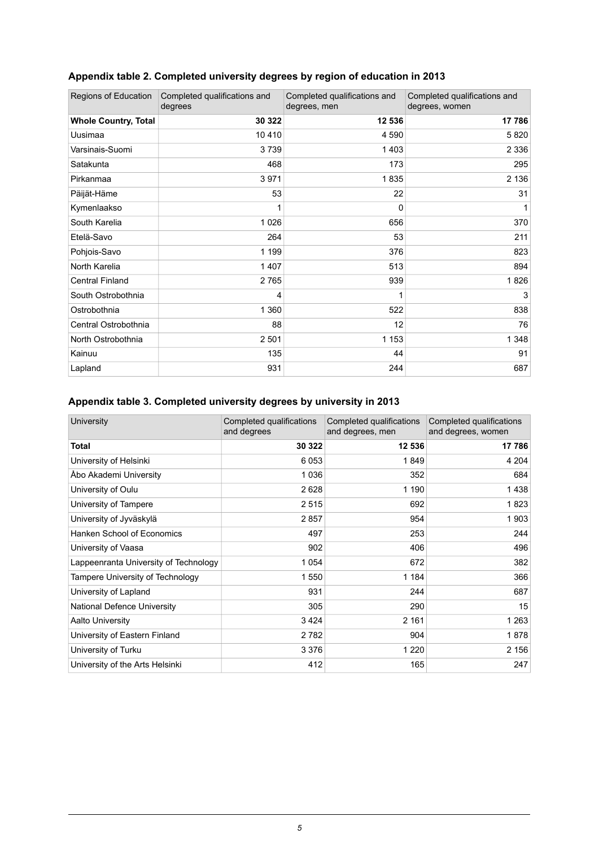| Regions of Education        | Completed qualifications and<br>degrees | Completed qualifications and<br>degrees, men | Completed qualifications and<br>degrees, women |
|-----------------------------|-----------------------------------------|----------------------------------------------|------------------------------------------------|
| <b>Whole Country, Total</b> | 30 322                                  | 12 536                                       | 17 786                                         |
| Uusimaa                     | 10 410                                  | 4 5 9 0                                      | 5820                                           |
| Varsinais-Suomi             | 3739                                    | 1403                                         | 2 3 3 6                                        |
| Satakunta                   | 468                                     | 173                                          | 295                                            |
| Pirkanmaa                   | 3971                                    | 1835                                         | 2 1 3 6                                        |
| Päijät-Häme                 | 53                                      | 22                                           | 31                                             |
| Kymenlaakso                 | 1                                       | 0                                            | 1                                              |
| South Karelia               | 1 0 2 6                                 | 656                                          | 370                                            |
| Etelä-Savo                  | 264                                     | 53                                           | 211                                            |
| Pohjois-Savo                | 1 1 9 9                                 | 376                                          | 823                                            |
| North Karelia               | 1 4 0 7                                 | 513                                          | 894                                            |
| <b>Central Finland</b>      | 2765                                    | 939                                          | 1826                                           |
| South Ostrobothnia          | 4                                       |                                              | 3                                              |
| Ostrobothnia                | 1 3 6 0                                 | 522                                          | 838                                            |
| Central Ostrobothnia        | 88                                      | 12                                           | 76                                             |
| North Ostrobothnia          | 2 501                                   | 1 1 5 3                                      | 1 3 4 8                                        |
| Kainuu                      | 135                                     | 44                                           | 91                                             |
| Lapland                     | 931                                     | 244                                          | 687                                            |

## <span id="page-4-0"></span>**Appendix table 2. Completed university degrees by region of education in 2013**

### <span id="page-4-1"></span>**Appendix table 3. Completed university degrees by university in 2013**

| University                            | Completed qualifications<br>and degrees | Completed qualifications<br>and degrees, men | Completed qualifications<br>and degrees, women |
|---------------------------------------|-----------------------------------------|----------------------------------------------|------------------------------------------------|
| Total                                 | 30 322                                  | 12 536                                       | 17786                                          |
| University of Helsinki                | 6 0 5 3                                 | 1849                                         | 4 2 0 4                                        |
| Åbo Akademi University                | 1036                                    | 352                                          | 684                                            |
| University of Oulu                    | 2628                                    | 1 190                                        | 1438                                           |
| University of Tampere                 | 2515                                    | 692                                          | 1823                                           |
| University of Jyväskylä               | 2857                                    | 954                                          | 1903                                           |
| Hanken School of Economics            | 497                                     | 253                                          | 244                                            |
| University of Vaasa                   | 902                                     | 406                                          | 496                                            |
| Lappeenranta University of Technology | 1 0 5 4                                 | 672                                          | 382                                            |
| Tampere University of Technology      | 1 550                                   | 1 1 8 4                                      | 366                                            |
| University of Lapland                 | 931                                     | 244                                          | 687                                            |
| National Defence University           | 305                                     | 290                                          | 15                                             |
| <b>Aalto University</b>               | 3424                                    | 2 1 6 1                                      | 1 2 6 3                                        |
| University of Eastern Finland         | 2 7 8 2                                 | 904                                          | 1878                                           |
| University of Turku                   | 3 3 7 6                                 | 1 2 2 0                                      | 2 156                                          |
| University of the Arts Helsinki       | 412                                     | 165                                          | 247                                            |